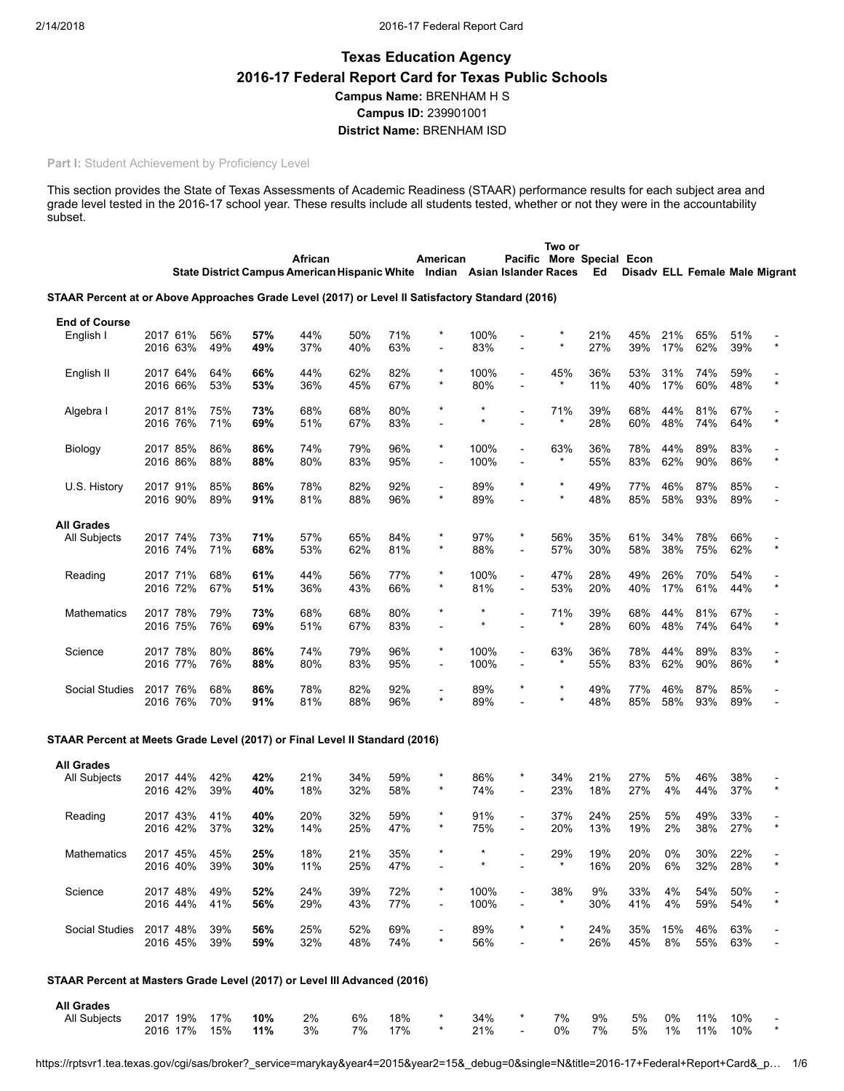# Texas Education Agency 2016-17 Federal Report Card for Texas Public Schools Campus Name: BRENHAM H S Campus ID: 239901001 District Name: BRENHAM ISD

# Part I: Student Achievement by Proficiency Level

This section provides the State of Texas Assessments of Academic Readiness (STAAR) performance results for each subject area and grade level tested in the 2016-17 school year. These results include all students tested, whether or not they were in the accountability subset.

|                                                                                                  |                      |          |            |            |                                                                           |            |            |                          |             |                                                      | Two or         |                           |            |            |                                |            |         |
|--------------------------------------------------------------------------------------------------|----------------------|----------|------------|------------|---------------------------------------------------------------------------|------------|------------|--------------------------|-------------|------------------------------------------------------|----------------|---------------------------|------------|------------|--------------------------------|------------|---------|
|                                                                                                  |                      |          |            |            | African                                                                   |            |            | American                 |             |                                                      |                | Pacific More Special Econ |            |            |                                |            |         |
|                                                                                                  |                      |          |            |            | State District Campus American Hispanic White Indian Asian Islander Races |            |            |                          |             |                                                      |                | Ed                        |            |            | Disady ELL Female Male Migrant |            |         |
| STAAR Percent at or Above Approaches Grade Level (2017) or Level II Satisfactory Standard (2016) |                      |          |            |            |                                                                           |            |            |                          |             |                                                      |                |                           |            |            |                                |            |         |
| <b>End of Course</b>                                                                             |                      |          |            |            |                                                                           |            |            |                          |             |                                                      |                |                           |            |            |                                |            |         |
| English I                                                                                        | 2017 61%             |          | 56%        | 57%        | 44%                                                                       | 50%        | 71%        |                          | 100%        |                                                      |                | 21%                       | 45%        | 21%        | 65%                            | 51%        |         |
|                                                                                                  | 2016 63%             |          | 49%        | 49%        | 37%                                                                       | 40%        | 63%        |                          | 83%         |                                                      |                | 27%                       | 39%        | 17%        | 62%                            | 39%        | $\star$ |
|                                                                                                  |                      |          |            |            |                                                                           |            |            |                          |             |                                                      |                |                           |            |            |                                |            |         |
| English II                                                                                       | 2017 64%             |          | 64%        | 66%        | 44%                                                                       | 62%        | 82%        | $\star$                  | 100%        |                                                      | 45%<br>$\star$ | 36%                       | 53%        | 31%        | 74%                            | 59%        | $\star$ |
|                                                                                                  | 2016 66%             |          | 53%        | 53%        | 36%                                                                       | 45%        | 67%        |                          | 80%         |                                                      |                | 11%                       | 40%        | 17%        | 60%                            | 48%        |         |
| Algebra I                                                                                        | 2017 81%             |          | 75%        | 73%        | 68%                                                                       | 68%        | 80%        | $\star$                  | $\star$     |                                                      | 71%            | 39%                       | 68%        | 44%        | 81%                            | 67%        |         |
|                                                                                                  | 2016 76%             |          | 71%        | 69%        | 51%                                                                       | 67%        | 83%        |                          |             |                                                      | $^\star$       | 28%                       | 60%        | 48%        | 74%                            | 64%        | $\star$ |
|                                                                                                  |                      |          | 86%        | 86%        | 74%                                                                       | 79%        | 96%        | $^\ast$                  | 100%        | $\overline{\phantom{0}}$                             | 63%            | 36%                       | 78%        | 44%        | 89%                            | 83%        |         |
| Biology                                                                                          | 2017 85%<br>2016 86% |          | 88%        | 88%        | 80%                                                                       | 83%        | 95%        | -                        | 100%        |                                                      | $^\star$       | 55%                       | 83%        | 62%        | 90%                            | 86%        | $\star$ |
|                                                                                                  |                      |          |            |            |                                                                           |            |            |                          |             |                                                      |                |                           |            |            |                                |            |         |
| U.S. History                                                                                     | 2017 91%             |          | 85%        | 86%        | 78%                                                                       | 82%        | 92%        | $\overline{\phantom{a}}$ | 89%         |                                                      | $^\star$       | 49%                       | 77%        | 46%        | 87%                            | 85%        |         |
|                                                                                                  | 2016 90%             |          | 89%        | 91%        | 81%                                                                       | 88%        | 96%        | $\star$                  | 89%         |                                                      | $\star$        | 48%                       | 85%        | 58%        | 93%                            | 89%        |         |
| <b>All Grades</b>                                                                                |                      |          |            |            |                                                                           |            |            |                          |             |                                                      |                |                           |            |            |                                |            |         |
| All Subjects                                                                                     | 2017 74%             |          | 73%        | 71%        | 57%                                                                       | 65%        | 84%        | $\star$                  | 97%         | *                                                    | 56%            | 35%                       | 61%        | 34%        | 78%                            | 66%        |         |
|                                                                                                  | 2016 74%             |          | 71%        | 68%        | 53%                                                                       | 62%        | 81%        | $\star$                  | 88%         |                                                      | 57%            | 30%                       | 58%        | 38%        | 75%                            | 62%        | $\star$ |
|                                                                                                  |                      |          |            |            |                                                                           |            |            | $\star$                  |             |                                                      |                |                           |            |            |                                |            |         |
| Reading                                                                                          | 2017 71%<br>2016 72% |          | 68%<br>67% | 61%<br>51% | 44%<br>36%                                                                | 56%<br>43% | 77%<br>66% |                          | 100%<br>81% | $\overline{a}$                                       | 47%<br>53%     | 28%<br>20%                | 49%<br>40% | 26%<br>17% | 70%<br>61%                     | 54%<br>44% | $\star$ |
|                                                                                                  |                      |          |            |            |                                                                           |            |            |                          |             |                                                      |                |                           |            |            |                                |            |         |
| Mathematics                                                                                      | 2017 78%             |          | 79%        | 73%        | 68%                                                                       | 68%        | 80%        | $\star$                  | $\star$     |                                                      | 71%            | 39%                       | 68%        | 44%        | 81%                            | 67%        |         |
|                                                                                                  | 2016 75%             |          | 76%        | 69%        | 51%                                                                       | 67%        | 83%        |                          | *           |                                                      | $^\star$       | 28%                       | 60%        | 48%        | 74%                            | 64%        | $\star$ |
|                                                                                                  |                      |          | 80%        |            | 74%                                                                       | 79%        | 96%        | $\star$                  | 100%        |                                                      | 63%            | 36%                       | 78%        | 44%        | 89%                            |            |         |
| Science                                                                                          | 2017 78%<br>2016 77% |          | 76%        | 86%<br>88% | 80%                                                                       | 83%        | 95%        | $\overline{\phantom{a}}$ | 100%        | $\overline{\phantom{a}}$<br>$\overline{\phantom{0}}$ |                | 55%                       | 83%        | 62%        | 90%                            | 83%<br>86% | $\star$ |
|                                                                                                  |                      |          |            |            |                                                                           |            |            |                          |             |                                                      |                |                           |            |            |                                |            |         |
| <b>Social Studies</b>                                                                            | 2017 76%             |          | 68%        | 86%        | 78%                                                                       | 82%        | 92%        | $\overline{a}$           | 89%         |                                                      | $^\star$       | 49%                       | 77%        | 46%        | 87%                            | 85%        |         |
|                                                                                                  | 2016 76%             |          | 70%        | 91%        | 81%                                                                       | 88%        | 96%        | $\star$                  | 89%         |                                                      |                | 48%                       | 85%        | 58%        | 93%                            | 89%        |         |
|                                                                                                  |                      |          |            |            |                                                                           |            |            |                          |             |                                                      |                |                           |            |            |                                |            |         |
| STAAR Percent at Meets Grade Level (2017) or Final Level II Standard (2016)                      |                      |          |            |            |                                                                           |            |            |                          |             |                                                      |                |                           |            |            |                                |            |         |
| <b>All Grades</b>                                                                                |                      |          |            |            |                                                                           |            |            |                          |             |                                                      |                |                           |            |            |                                |            |         |
| <b>All Subjects</b>                                                                              | 2017 44%             |          | 42%        | 42%        | 21%                                                                       | 34%        | 59%        |                          | 86%         | *                                                    | 34%            | 21%                       | 27%        | 5%         | 46%                            | 38%        |         |
|                                                                                                  | 2016 42%             |          | 39%        | 40%        | 18%                                                                       | 32%        | 58%        | $\star$                  | 74%         | $\blacksquare$                                       | 23%            | 18%                       | 27%        | 4%         | 44%                            | 37%        | $\star$ |
|                                                                                                  | 2017 43%             |          | 41%        | 40%        | 20%                                                                       | 32%        | 59%        | $\star$                  | 91%         |                                                      | 37%            | 24%                       | 25%        | 5%         | 49%                            | 33%        |         |
| Reading                                                                                          | 2016 42%             |          | 37%        | 32%        | 14%                                                                       | 25%        | 47%        |                          | 75%         |                                                      | 20%            | 13%                       | 19%        | 2%         | 38%                            | 27%        | $\star$ |
|                                                                                                  |                      |          |            |            |                                                                           |            |            |                          |             |                                                      |                |                           |            |            |                                |            |         |
| Mathematics                                                                                      |                      | 2017 45% | 45%        | 25%        | 18%                                                                       | 21%        | 35%        |                          | $\star$     |                                                      | 29%            | 19%                       | 20%        | 0%         | 30%                            | 22%        |         |
|                                                                                                  | 2016 40%             |          | 39%        | 30%        | 11%                                                                       | 25%        | 47%        |                          | $\star$     |                                                      | $\star$        | 16%                       | 20%        | 6%         | 32%                            | 28%        |         |
| Science                                                                                          | 2017 48%             |          | 49%        | 52%        | 24%                                                                       | 39%        | 72%        |                          | 100%        |                                                      | 38%            | 9%                        | 33%        | 4%         | 54%                            | 50%        |         |
|                                                                                                  | 2016 44%             |          | 41%        | 56%        | 29%                                                                       | 43%        | 77%        |                          | 100%        |                                                      | $\star$        | 30%                       | 41%        | 4%         | 59%                            | 54%        | $\star$ |
|                                                                                                  |                      |          |            |            |                                                                           |            |            |                          |             |                                                      |                |                           |            |            |                                |            |         |
| <b>Social Studies</b>                                                                            | 2017 48%             |          | 39%        | 56%        | 25%                                                                       | 52%        | 69%        | $\star$                  | 89%         |                                                      | $\star$        | 24%                       | 35%        | 15%        | 46%                            | 63%        |         |
|                                                                                                  | 2016 45%             |          | 39%        | 59%        | 32%                                                                       | 48%        | 74%        |                          | 56%         |                                                      |                | 26%                       | 45%        | 8%         | 55%                            | 63%        |         |
|                                                                                                  |                      |          |            |            |                                                                           |            |            |                          |             |                                                      |                |                           |            |            |                                |            |         |
| STAAR Percent at Masters Grade Level (2017) or Level III Advanced (2016)                         |                      |          |            |            |                                                                           |            |            |                          |             |                                                      |                |                           |            |            |                                |            |         |
| <b>All Grades</b>                                                                                |                      |          |            |            |                                                                           |            |            |                          |             |                                                      |                |                           |            |            |                                |            |         |
| All Subjects                                                                                     | 2017 19%             |          | 17%        | 10%        | 2%                                                                        | 6%         | 18%        |                          | 34%         |                                                      | 7%             | 9%                        | 5%         | 0%         | 11%                            | 10%        |         |
|                                                                                                  | 2016 17%             |          | 15%        | 11%        | 3%                                                                        | 7%         | 17%        |                          | 21%         |                                                      | 0%             | 7%                        | 5%         | 1%         | 11%                            | 10%        | $\star$ |
|                                                                                                  |                      |          |            |            |                                                                           |            |            |                          |             |                                                      |                |                           |            |            |                                |            |         |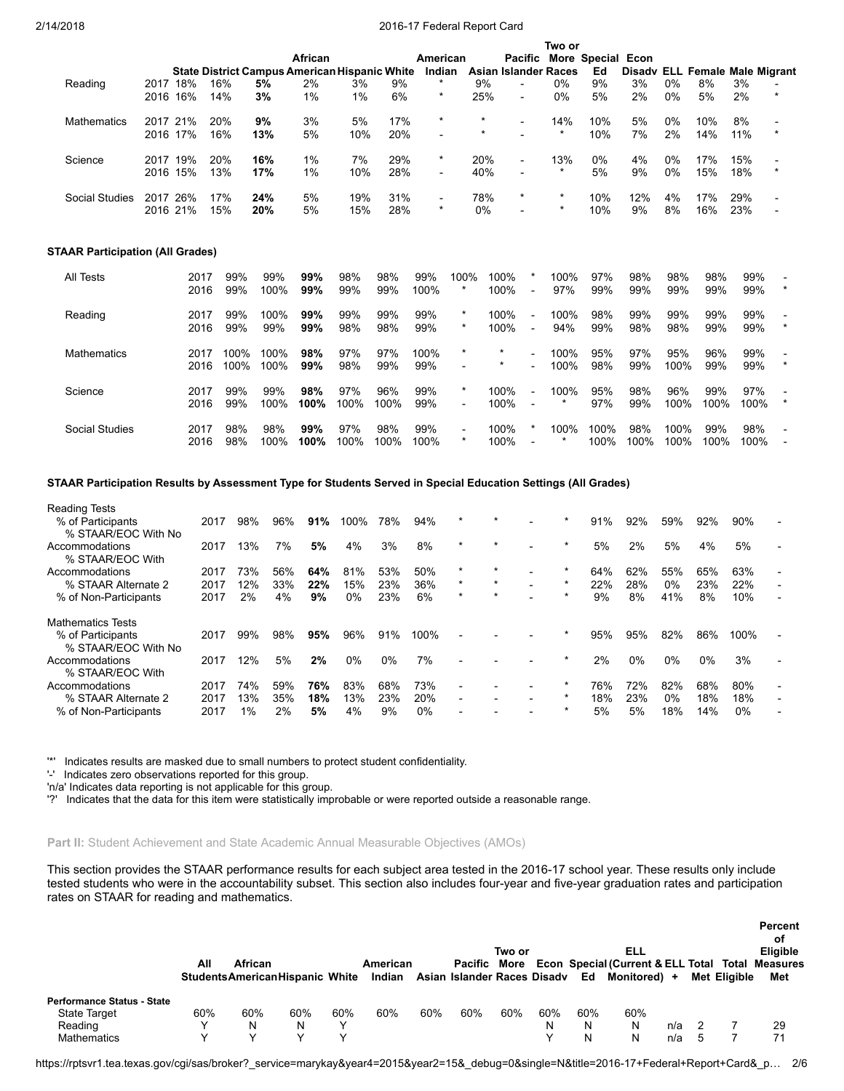Two or

| Reading                                 | 2017 18%<br>2016     | 16%          | 16%<br>14%   | <b>State District Campus American Hispanic White</b><br>5%<br>3% | African<br>2%<br>1% | 3%<br>1%    | 9%<br>6%    | American<br>Indian<br>$\star$<br>$\star$ |                                     | 9%<br>25%    | Pacific More Special Econ<br><b>Asian Islander Races</b><br>$\blacksquare$<br>$\overline{a}$ | $0\%$<br>0%      | Ed<br>9%<br>5% | 3%<br>2%    | 0%<br>0%     | Disady ELL Female Male Migrant<br>8%<br>5% | 3%<br>2%    | $\star$ |
|-----------------------------------------|----------------------|--------------|--------------|------------------------------------------------------------------|---------------------|-------------|-------------|------------------------------------------|-------------------------------------|--------------|----------------------------------------------------------------------------------------------|------------------|----------------|-------------|--------------|--------------------------------------------|-------------|---------|
| Mathematics                             | 2017 21%<br>2016 17% |              | 20%<br>16%   | 9%<br>13%                                                        | 3%<br>5%            | 5%<br>10%   | 17%<br>20%  | $\star$                                  |                                     | $\star$      | $\blacksquare$                                                                               | 14%<br>$\star$   | 10%<br>10%     | 5%<br>7%    | 0%<br>2%     | 10%<br>14%                                 | 8%<br>11%   | $\star$ |
| Science                                 | 2017 19%<br>2016 15% |              | 20%<br>13%   | 16%<br>17%                                                       | 1%<br>1%            | 7%<br>10%   | 29%<br>28%  | $^\ast$                                  |                                     | 20%<br>40%   | $\overline{\phantom{a}}$                                                                     | 13%<br>$\star$   | 0%<br>5%       | 4%<br>9%    | 0%<br>0%     | 17%<br>15%                                 | 15%<br>18%  | $\star$ |
| <b>Social Studies</b>                   | 2017 26%<br>2016 21% |              | 17%<br>15%   | 24%<br>20%                                                       | 5%<br>5%            | 19%<br>15%  | 31%<br>28%  | $\overline{\phantom{a}}$<br>$\star$      |                                     | 78%<br>0%    | $\star$                                                                                      | $\star$          | 10%<br>10%     | 12%<br>9%   | 4%<br>8%     | 17%<br>16%                                 | 29%<br>23%  |         |
| <b>STAAR Participation (All Grades)</b> |                      |              |              |                                                                  |                     |             |             |                                          |                                     |              |                                                                                              |                  |                |             |              |                                            |             |         |
| <b>All Tests</b>                        |                      | 2017<br>2016 | 99%<br>99%   | 99%<br>100%                                                      | 99%<br>99%          | 98%<br>99%  | 98%<br>99%  | 99%<br>100%                              | 100%<br>$^\star$                    | 100%<br>100% | $\overline{\phantom{a}}$                                                                     | 100%<br>97%      | 97%<br>99%     | 98%<br>99%  | 98%<br>99%   | 98%<br>99%                                 | 99%<br>99%  |         |
| Reading                                 |                      | 2017<br>2016 | 99%<br>99%   | 100%<br>99%                                                      | 99%<br>99%          | 99%<br>98%  | 99%<br>98%  | 99%<br>99%                               | $\star$<br>$^\star$                 | 100%<br>100% | $\overline{\phantom{a}}$<br>$\blacksquare$                                                   | 100%<br>94%      | 98%<br>99%     | 99%<br>98%  | 99%<br>98%   | 99%<br>99%                                 | 99%<br>99%  |         |
| <b>Mathematics</b>                      |                      | 2017<br>2016 | 100%<br>100% | 100%<br>100%                                                     | 98%<br>99%          | 97%<br>98%  | 97%<br>99%  | 100%<br>99%                              | $\star$                             | $\star$      |                                                                                              | 100%<br>100%     | 95%<br>98%     | 97%<br>99%  | 95%<br>100%  | 96%<br>99%                                 | 99%<br>99%  |         |
| Science                                 |                      | 2017<br>2016 | 99%<br>99%   | 99%<br>100%                                                      | 98%<br>100%         | 97%<br>100% | 96%<br>100% | 99%<br>99%                               | $\star$<br>$\overline{a}$           | 100%<br>100% | $\overline{\phantom{a}}$                                                                     | 100%<br>$^\star$ | 95%<br>97%     | 98%<br>99%  | 96%<br>100%  | 99%<br>100%                                | 97%<br>100% | $\star$ |
| <b>Social Studies</b>                   |                      | 2017<br>2016 | 98%<br>98%   | 98%<br>100%                                                      | 99%<br>100%         | 97%<br>100% | 98%<br>100% | 99%<br>100%                              | $\overline{\phantom{a}}$<br>$\star$ | 100%         | 100%                                                                                         | 100%             | 100%<br>100%   | 98%<br>100% | 100%<br>100% | 99%<br>100%                                | 98%<br>100% |         |

# STAAR Participation Results by Assessment Type for Students Served in Special Education Settings (All Grades)

| <b>Reading Tests</b>                     |      |     |     |     |      |       |      |                          |         |                          |         |     |       |       |       |       |                |
|------------------------------------------|------|-----|-----|-----|------|-------|------|--------------------------|---------|--------------------------|---------|-----|-------|-------|-------|-------|----------------|
| % of Participants                        | 2017 | 98% | 96% | 91% | 100% | 78%   | 94%  | $\star$                  | $\star$ |                          |         | 91% | 92%   | 59%   | 92%   | 90%   |                |
| % STAAR/EOC With No                      |      |     |     |     |      |       |      |                          |         |                          |         |     |       |       |       |       |                |
| Accommodations<br>% STAAR/EOC With       | 2017 | 13% | 7%  | 5%  | 4%   | 3%    | 8%   | $\star$                  | $\star$ |                          | $\ast$  | 5%  | 2%    | 5%    | 4%    | 5%    |                |
| Accommodations                           | 2017 | 73% | 56% | 64% | 81%  | 53%   | 50%  | $\star$                  | $\star$ |                          |         | 64% | 62%   | 55%   | 65%   | 63%   |                |
| % STAAR Alternate 2                      | 2017 | 12% | 33% | 22% | 15%  | 23%   | 36%  | $\star$                  | $\star$ | $\overline{\phantom{0}}$ |         | 22% | 28%   | $0\%$ | 23%   | 22%   |                |
| % of Non-Participants                    | 2017 | 2%  | 4%  | 9%  | 0%   | 23%   | 6%   | $\star$                  | $\star$ |                          |         | 9%  | 8%    | 41%   | 8%    | 10%   |                |
| Mathematics Tests                        |      |     |     |     |      |       |      |                          |         |                          |         |     |       |       |       |       |                |
| % of Participants<br>% STAAR/EOC With No | 2017 | 99% | 98% | 95% | 96%  | 91%   | 100% |                          |         |                          |         | 95% | 95%   | 82%   | 86%   | 100%  |                |
| Accommodations<br>% STAAR/EOC With       | 2017 | 12% | 5%  | 2%  | 0%   | $0\%$ | 7%   |                          |         |                          |         | 2%  | $0\%$ | $0\%$ | $0\%$ | 3%    |                |
| Accommodations                           | 2017 | 74% | 59% | 76% | 83%  | 68%   | 73%  |                          |         |                          |         | 76% | 72%   | 82%   | 68%   | 80%   |                |
| % STAAR Alternate 2                      | 2017 | 13% | 35% | 18% | 13%  | 23%   | 20%  | $\overline{\phantom{0}}$ |         |                          | $\star$ | 18% | 23%   | $0\%$ | 18%   | 18%   | $\blacksquare$ |
| % of Non-Participants                    | 2017 | 1%  | 2%  | 5%  | 4%   | 9%    | 0%   |                          |         |                          | $\star$ | 5%  | 5%    | 18%   | 14%   | $0\%$ |                |
|                                          |      |     |     |     |      |       |      |                          |         |                          |         |     |       |       |       |       |                |

'\*' Indicates results are masked due to small numbers to protect student confidentiality.

'-' Indicates zero observations reported for this group.

'n/a' Indicates data reporting is not applicable for this group.

'?' Indicates that the data for this item were statistically improbable or were reported outside a reasonable range.

### Part II: Student Achievement and State Academic Annual Measurable Objectives (AMOs)

This section provides the STAAR performance results for each subject area tested in the 2016-17 school year. These results only include tested students who were in the accountability subset. This section also includes four-year and five-year graduation rates and participation rates on STAAR for reading and mathematics.

|                                   |     |         |                                         |              |          |     |                                |        |     |     |                                                                      |     |              | Percent<br>οf |
|-----------------------------------|-----|---------|-----------------------------------------|--------------|----------|-----|--------------------------------|--------|-----|-----|----------------------------------------------------------------------|-----|--------------|---------------|
|                                   | All | African |                                         |              | American |     |                                | Two or |     |     | ELL<br>Pacific More Econ Special (Current & ELL Total Total Measures |     |              | Eligible      |
|                                   |     |         | <b>Students American Hispanic White</b> |              | Indian   |     | Asian Islander Races Disady Ed |        |     |     | Monitored) +                                                         |     | Met Eliaible | Met           |
| <b>Performance Status - State</b> |     |         |                                         |              |          |     |                                |        |     |     |                                                                      |     |              |               |
| <b>State Target</b>               | 60% | 60%     | 60%                                     | 60%          | 60%      | 60% | 60%                            | 60%    | 60% | 60% | 60%                                                                  |     |              |               |
| Reading                           | v   | N       | N                                       | $\checkmark$ |          |     |                                |        | N   | N   | N                                                                    | n/a |              | 29            |
| Mathematics                       |     |         |                                         |              |          |     |                                |        |     | N   | N                                                                    | n/a |              | 71            |

Percent

https://rptsvr1.tea.texas.gov/cgi/sas/broker?\_service=marykay&year4=2015&year2=15&\_debug=0&single=N&title=2016-17+Federal+Report+Card&\_p… 2/6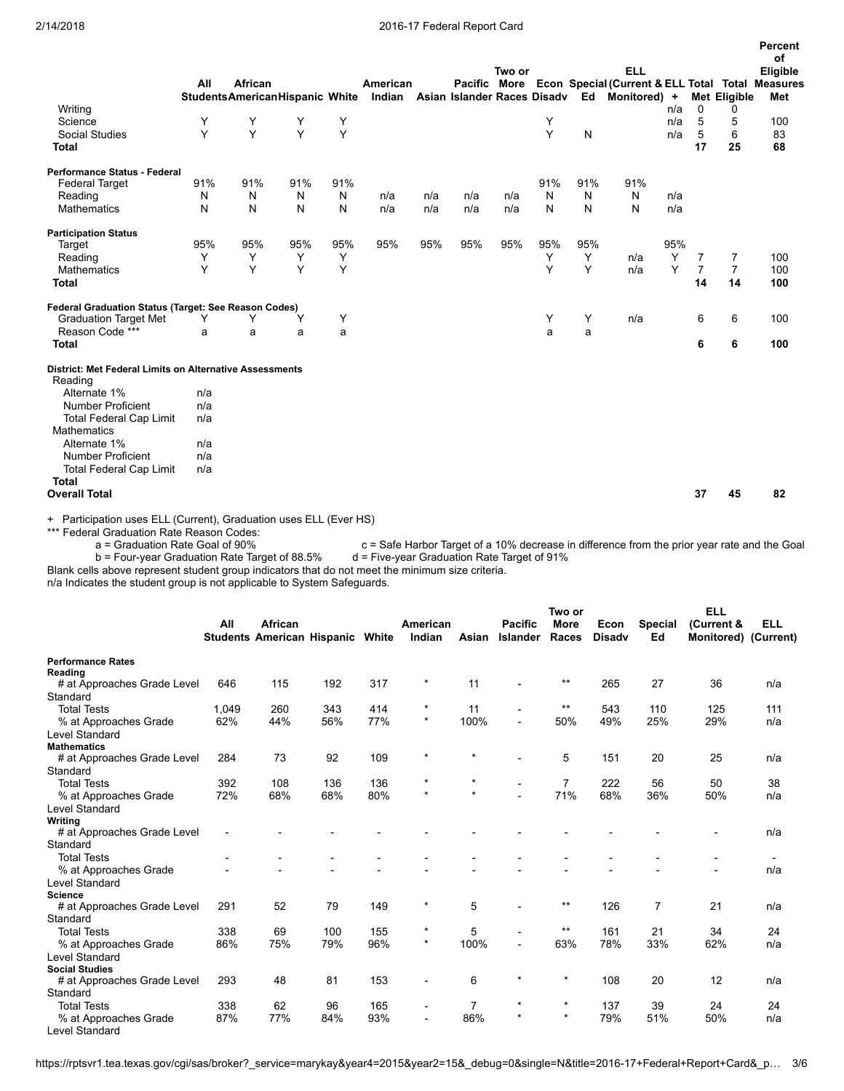|                                                                |     |                                  |     |     |          |     |                             |        |     |     |                                                               |     |                      |                      | Percent    |
|----------------------------------------------------------------|-----|----------------------------------|-----|-----|----------|-----|-----------------------------|--------|-----|-----|---------------------------------------------------------------|-----|----------------------|----------------------|------------|
|                                                                |     |                                  |     |     |          |     |                             | Two or |     |     | <b>ELL</b>                                                    |     |                      |                      | of         |
|                                                                | All | African                          |     |     | American |     |                             |        |     |     | Pacific More Econ Special (Current & ELL Total Total Measures |     |                      |                      | Eligible   |
|                                                                |     | Students American Hispanic White |     |     | Indian   |     | Asian Islander Races Disadv |        |     | Ed  | Monitored) +                                                  |     |                      | Met Eligible         | Met        |
| Writing                                                        |     |                                  |     |     |          |     |                             |        |     |     |                                                               | n/a | $\mathbf 0$          | 0                    |            |
| Science                                                        | Y   | Υ                                | Y   | Y   |          |     |                             |        | Y   |     |                                                               | n/a | 5                    | 5                    | 100        |
| <b>Social Studies</b>                                          | Y   | Y                                | Y   | Y   |          |     |                             |        | Y   | N   |                                                               | n/a | 5                    | 6                    | 83         |
| <b>Total</b>                                                   |     |                                  |     |     |          |     |                             |        |     |     |                                                               |     | 17                   | 25                   | 68         |
| <b>Performance Status - Federal</b>                            |     |                                  |     |     |          |     |                             |        |     |     |                                                               |     |                      |                      |            |
| <b>Federal Target</b>                                          | 91% | 91%                              | 91% | 91% |          |     |                             |        | 91% | 91% | 91%                                                           |     |                      |                      |            |
| Reading                                                        | N   | N                                | N   | N   | n/a      | n/a | n/a                         | n/a    | N   | N   | N                                                             | n/a |                      |                      |            |
| Mathematics                                                    | N   | N                                | N   | N   | n/a      | n/a | n/a                         | n/a    | N   | N   | N                                                             | n/a |                      |                      |            |
| <b>Participation Status</b>                                    |     |                                  |     |     |          |     |                             |        |     |     |                                                               |     |                      |                      |            |
| Target                                                         | 95% | 95%                              | 95% | 95% | 95%      | 95% | 95%                         | 95%    | 95% | 95% |                                                               | 95% |                      |                      |            |
| Reading                                                        | Y   | Υ                                | Y   | Υ   |          |     |                             |        | Υ   | Y   | n/a                                                           | Y   | 7                    | 7                    | 100        |
| <b>Mathematics</b><br><b>Total</b>                             | Y   | Y                                | Y   | Y   |          |     |                             |        | Y   | Υ   | n/a                                                           | Y   | $\overline{7}$<br>14 | $\overline{7}$<br>14 | 100<br>100 |
| Federal Graduation Status (Target: See Reason Codes)           |     |                                  |     |     |          |     |                             |        |     |     |                                                               |     |                      |                      |            |
| <b>Graduation Target Met</b>                                   | Υ   | Υ                                | Υ   | Y   |          |     |                             |        | Y   | Υ   | n/a                                                           |     | 6                    | 6                    | 100        |
| Reason Code ***                                                | a   | a                                | a   | a   |          |     |                             |        | a   | a   |                                                               |     |                      |                      |            |
| <b>Total</b>                                                   |     |                                  |     |     |          |     |                             |        |     |     |                                                               |     | 6                    | 6                    | 100        |
| <b>District: Met Federal Limits on Alternative Assessments</b> |     |                                  |     |     |          |     |                             |        |     |     |                                                               |     |                      |                      |            |
| Reading                                                        |     |                                  |     |     |          |     |                             |        |     |     |                                                               |     |                      |                      |            |
| Alternate 1%                                                   | n/a |                                  |     |     |          |     |                             |        |     |     |                                                               |     |                      |                      |            |
| <b>Number Proficient</b>                                       | n/a |                                  |     |     |          |     |                             |        |     |     |                                                               |     |                      |                      |            |
| <b>Total Federal Cap Limit</b>                                 | n/a |                                  |     |     |          |     |                             |        |     |     |                                                               |     |                      |                      |            |
| <b>Mathematics</b>                                             |     |                                  |     |     |          |     |                             |        |     |     |                                                               |     |                      |                      |            |
| Alternate 1%                                                   | n/a |                                  |     |     |          |     |                             |        |     |     |                                                               |     |                      |                      |            |
| <b>Number Proficient</b>                                       | n/a |                                  |     |     |          |     |                             |        |     |     |                                                               |     |                      |                      |            |
| <b>Total Federal Cap Limit</b>                                 | n/a |                                  |     |     |          |     |                             |        |     |     |                                                               |     |                      |                      |            |
| <b>Total</b>                                                   |     |                                  |     |     |          |     |                             |        |     |     |                                                               |     |                      |                      |            |
| <b>Overall Total</b>                                           |     |                                  |     |     |          |     |                             |        |     |     |                                                               |     | 37                   | 45                   | 82         |

+ Participation uses ELL (Current), Graduation uses ELL (Ever HS)

\*\*\* Federal Graduation Rate Reason Codes:<br>a = Graduation Rate Goal of 90% c = Safe Harbor Target of a 10% decrease in difference from the prior year rate and the Goal d = Five-year Graduation Rate Target of 91% b = Four-year Graduation Rate Target of 88.5%

Blank cells above represent student group indicators that do not meet the minimum size criteria.

n/a Indicates the student group is not applicable to System Safeguards.

|                             |       |                                   |     |       |                |         |                 | Two or      |               |                | <b>ELL</b>           |            |
|-----------------------------|-------|-----------------------------------|-----|-------|----------------|---------|-----------------|-------------|---------------|----------------|----------------------|------------|
|                             | All   | African                           |     |       | American       |         | <b>Pacific</b>  | <b>More</b> | Econ          | <b>Special</b> | (Current &           | <b>ELL</b> |
|                             |       | <b>Students American Hispanic</b> |     | White | Indian         | Asian   | <b>Islander</b> | Races       | <b>Disadv</b> | Ed             | Monitored) (Current) |            |
| <b>Performance Rates</b>    |       |                                   |     |       |                |         |                 |             |               |                |                      |            |
| Reading                     |       |                                   |     |       |                |         |                 |             |               |                |                      |            |
| # at Approaches Grade Level | 646   | 115                               | 192 | 317   | $\star$        | 11      |                 | $***$       | 265           | 27             | 36                   | n/a        |
| Standard                    |       |                                   |     |       |                |         |                 |             |               |                |                      |            |
| <b>Total Tests</b>          | 1.049 | 260                               | 343 | 414   | $\star$        | 11      |                 | $***$       | 543           | 110            | 125                  | 111        |
| % at Approaches Grade       | 62%   | 44%                               | 56% | 77%   | $\star$        | 100%    |                 | 50%         | 49%           | 25%            | 29%                  | n/a        |
| <b>Level Standard</b>       |       |                                   |     |       |                |         |                 |             |               |                |                      |            |
| <b>Mathematics</b>          |       |                                   |     |       |                |         |                 |             |               |                |                      |            |
| # at Approaches Grade Level | 284   | 73                                | 92  | 109   | $\star$        | $\star$ |                 | 5           | 151           | 20             | 25                   | n/a        |
| Standard                    |       |                                   |     |       |                |         |                 |             |               |                |                      |            |
| <b>Total Tests</b>          | 392   | 108                               | 136 | 136   | $\star$        | $\star$ |                 | 7           | 222           | 56             | 50                   | 38         |
| % at Approaches Grade       | 72%   | 68%                               | 68% | 80%   | $\star$        | $\star$ |                 | 71%         | 68%           | 36%            | 50%                  | n/a        |
| <b>Level Standard</b>       |       |                                   |     |       |                |         |                 |             |               |                |                      |            |
| Writing                     |       |                                   |     |       |                |         |                 |             |               |                |                      |            |
| # at Approaches Grade Level |       |                                   |     |       |                |         |                 |             |               |                |                      | n/a        |
| Standard                    |       |                                   |     |       |                |         |                 |             |               |                |                      |            |
| <b>Total Tests</b>          |       |                                   |     |       |                |         |                 |             |               |                |                      |            |
| % at Approaches Grade       |       |                                   |     |       |                |         |                 |             |               |                |                      | n/a        |
| <b>Level Standard</b>       |       |                                   |     |       |                |         |                 |             |               |                |                      |            |
| <b>Science</b>              |       |                                   |     |       |                |         |                 | $***$       |               |                |                      |            |
| # at Approaches Grade Level | 291   | 52                                | 79  | 149   | $\star$        | 5       |                 |             | 126           | 7              | 21                   | n/a        |
| Standard                    |       |                                   |     |       |                |         |                 |             |               |                |                      |            |
| <b>Total Tests</b>          | 338   | 69                                | 100 | 155   | $\star$        | 5       |                 | $***$       | 161           | 21             | 34                   | 24         |
| % at Approaches Grade       | 86%   | 75%                               | 79% | 96%   | $\star$        | 100%    | $\overline{a}$  | 63%         | 78%           | 33%            | 62%                  | n/a        |
| <b>Level Standard</b>       |       |                                   |     |       |                |         |                 |             |               |                |                      |            |
| <b>Social Studies</b>       |       |                                   |     |       |                |         | $\star$         | $\star$     |               |                |                      |            |
| # at Approaches Grade Level | 293   | 48                                | 81  | 153   |                | 6       |                 |             | 108           | 20             | 12                   | n/a        |
| Standard                    |       |                                   |     |       |                |         |                 |             |               |                |                      |            |
| <b>Total Tests</b>          | 338   | 62                                | 96  | 165   | $\blacksquare$ | 7       | $\star$         | $\star$     | 137           | 39             | 24                   | 24         |
| % at Approaches Grade       | 87%   | 77%                               | 84% | 93%   |                | 86%     | $\star$         | $\star$     | 79%           | 51%            | 50%                  | n/a        |
| <b>Level Standard</b>       |       |                                   |     |       |                |         |                 |             |               |                |                      |            |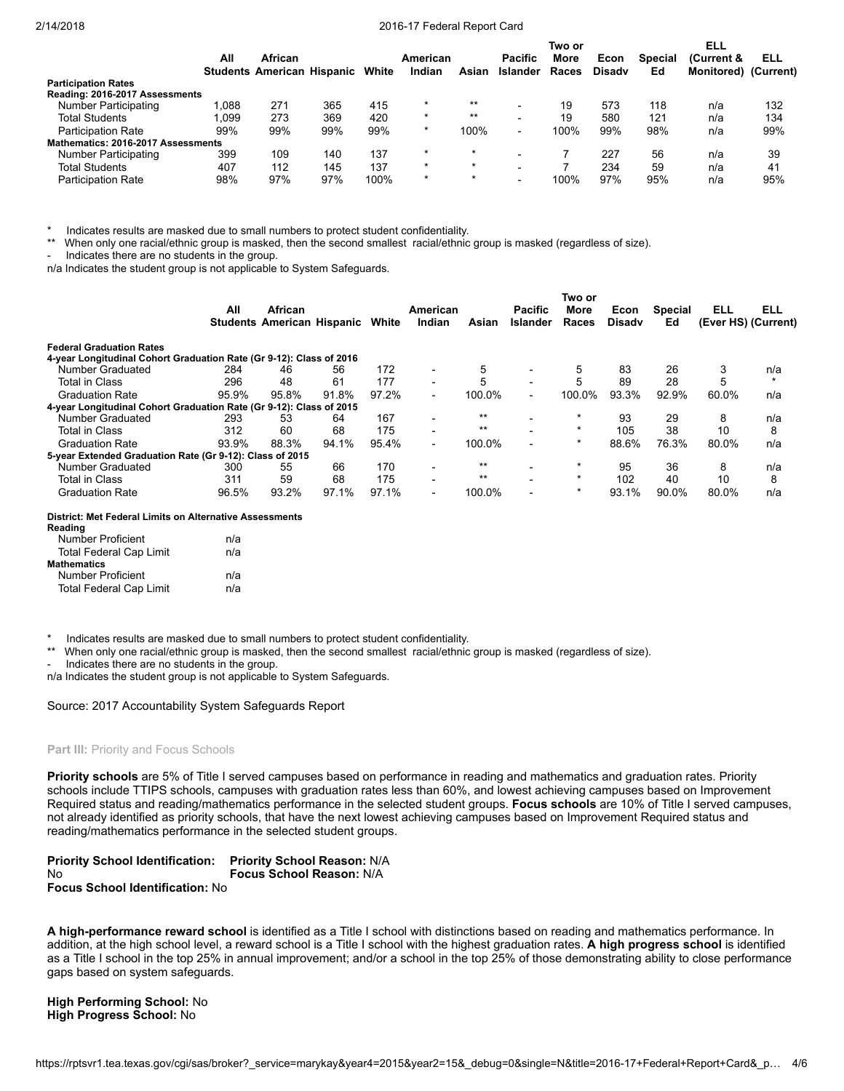|                                    |       |                                   |     |       |          |          |                          | Two or |               |                | ELL                  |     |
|------------------------------------|-------|-----------------------------------|-----|-------|----------|----------|--------------------------|--------|---------------|----------------|----------------------|-----|
|                                    | All   | African                           |     |       | American |          | <b>Pacific</b>           | More   | Econ          | <b>Special</b> | (Current &           | ELL |
|                                    |       | <b>Students American Hispanic</b> |     | White | Indian   | Asian    | Islander                 | Races  | <b>Disady</b> | Ed             | Monitored) (Current) |     |
| <b>Participation Rates</b>         |       |                                   |     |       |          |          |                          |        |               |                |                      |     |
| Reading: 2016-2017 Assessments     |       |                                   |     |       |          |          |                          |        |               |                |                      |     |
| Number Participating               | 1.088 | 271                               | 365 | 415   | $\star$  | $***$    |                          | 19     | 573           | 118            | n/a                  | 132 |
| <b>Total Students</b>              | 1.099 | 273                               | 369 | 420   | $\star$  | $***$    | $\overline{\phantom{0}}$ | 19     | 580           | 121            | n/a                  | 134 |
| <b>Participation Rate</b>          | 99%   | 99%                               | 99% | 99%   | $\star$  | 100%     |                          | 100%   | 99%           | 98%            | n/a                  | 99% |
| Mathematics: 2016-2017 Assessments |       |                                   |     |       |          |          |                          |        |               |                |                      |     |
| Number Participating               | 399   | 109                               | 140 | 137   |          | $^\star$ |                          |        | 227           | 56             | n/a                  | 39  |
| <b>Total Students</b>              | 407   | 112                               | 145 | 137   | $\star$  | $\star$  | $\overline{\phantom{a}}$ |        | 234           | 59             | n/a                  | 41  |
| <b>Participation Rate</b>          | 98%   | 97%                               | 97% | 100%  | $\star$  | $\star$  | $\overline{\phantom{a}}$ | 100%   | 97%           | 95%            | n/a                  | 95% |

Indicates results are masked due to small numbers to protect student confidentiality.

\*\* When only one racial/ethnic group is masked, then the second smallest racial/ethnic group is masked (regardless of size).

Indicates there are no students in the group.

n/a Indicates the student group is not applicable to System Safeguards.

|                                                                     |       |                                   |       |       |                          |        |                          | Two or      |               |                |                     |            |
|---------------------------------------------------------------------|-------|-----------------------------------|-------|-------|--------------------------|--------|--------------------------|-------------|---------------|----------------|---------------------|------------|
|                                                                     | All   | African                           |       |       | American                 |        | <b>Pacific</b>           | <b>More</b> | Econ          | <b>Special</b> | ELL                 | <b>ELL</b> |
|                                                                     |       | <b>Students American Hispanic</b> |       | White | Indian                   | Asian  | <b>Islander</b>          | Races       | <b>Disady</b> | Ed             | (Ever HS) (Current) |            |
| <b>Federal Graduation Rates</b>                                     |       |                                   |       |       |                          |        |                          |             |               |                |                     |            |
| 4-year Longitudinal Cohort Graduation Rate (Gr 9-12): Class of 2016 |       |                                   |       |       |                          |        |                          |             |               |                |                     |            |
| Number Graduated                                                    | 284   | 46                                | 56    | 172   | $\overline{\phantom{0}}$ | 5      |                          | 5           | 83            | 26             |                     | n/a        |
| <b>Total in Class</b>                                               | 296   | 48                                | 61    | 177   | $\blacksquare$           | 5      | $\overline{\phantom{0}}$ | 5           | 89            | 28             |                     | $\star$    |
| <b>Graduation Rate</b>                                              | 95.9% | 95.8%                             | 91.8% | 97.2% | $\blacksquare$           | 100.0% | $\overline{\phantom{a}}$ | 100.0%      | 93.3%         | 92.9%          | 60.0%               | n/a        |
| 4-year Longitudinal Cohort Graduation Rate (Gr 9-12): Class of 2015 |       |                                   |       |       |                          |        |                          |             |               |                |                     |            |
| Number Graduated                                                    | 293   | 53                                | 64    | 167   | $\overline{\phantom{0}}$ | $**$   |                          | $\star$     | 93            | 29             | 8                   | n/a        |
| <b>Total in Class</b>                                               | 312   | 60                                | 68    | 175   | $\blacksquare$           | $**$   |                          | $\star$     | 105           | 38             | 10                  | 8          |
| <b>Graduation Rate</b>                                              | 93.9% | 88.3%                             | 94.1% | 95.4% | $\blacksquare$           | 100.0% | $\overline{\phantom{0}}$ | $\star$     | 88.6%         | 76.3%          | 80.0%               | n/a        |
| 5-year Extended Graduation Rate (Gr 9-12): Class of 2015            |       |                                   |       |       |                          |        |                          |             |               |                |                     |            |
| Number Graduated                                                    | 300   | 55                                | 66    | 170   | ۰                        | $**$   |                          |             | 95            | 36             | 8                   | n/a        |
| <b>Total in Class</b>                                               | 311   | 59                                | 68    | 175   | $\overline{\phantom{0}}$ | $**$   | $\overline{\phantom{0}}$ | $\star$     | 102           | 40             | 10                  | 8          |
| <b>Graduation Rate</b>                                              | 96.5% | 93.2%                             | 97.1% | 97.1% | $\blacksquare$           | 100.0% | $\overline{\phantom{0}}$ | $\star$     | 93.1%         | 90.0%          | 80.0%               | n/a        |

#### District: Met Federal Limits on Alternative Assessments

| Reading                        |     |
|--------------------------------|-----|
| Number Proficient              | n/a |
| <b>Total Federal Cap Limit</b> | n/a |
| Mathematics                    |     |
| Number Proficient              | n/a |
| <b>Total Federal Cap Limit</b> | n/a |

Indicates results are masked due to small numbers to protect student confidentiality.

\*\* When only one racial/ethnic group is masked, then the second smallest racial/ethnic group is masked (regardless of size).

Indicates there are no students in the group.

n/a Indicates the student group is not applicable to System Safeguards.

Source: 2017 Accountability System Safeguards Report

# Part III: Priority and Focus Schools

Priority schools are 5% of Title I served campuses based on performance in reading and mathematics and graduation rates. Priority schools include TTIPS schools, campuses with graduation rates less than 60%, and lowest achieving campuses based on Improvement Required status and reading/mathematics performance in the selected student groups. Focus schools are 10% of Title I served campuses, not already identified as priority schools, that have the next lowest achieving campuses based on Improvement Required status and reading/mathematics performance in the selected student groups.

| <b>Priority School Identification:</b> | <b>Priority School Reason: N/A</b> |
|----------------------------------------|------------------------------------|
| Nο                                     | <b>Focus School Reason: N/A</b>    |
| <b>Focus School Identification: No</b> |                                    |

A high-performance reward school is identified as a Title I school with distinctions based on reading and mathematics performance. In addition, at the high school level, a reward school is a Title I school with the highest graduation rates. A high progress school is identified as a Title I school in the top 25% in annual improvement; and/or a school in the top 25% of those demonstrating ability to close performance gaps based on system safeguards.

High Performing School: No High Progress School: No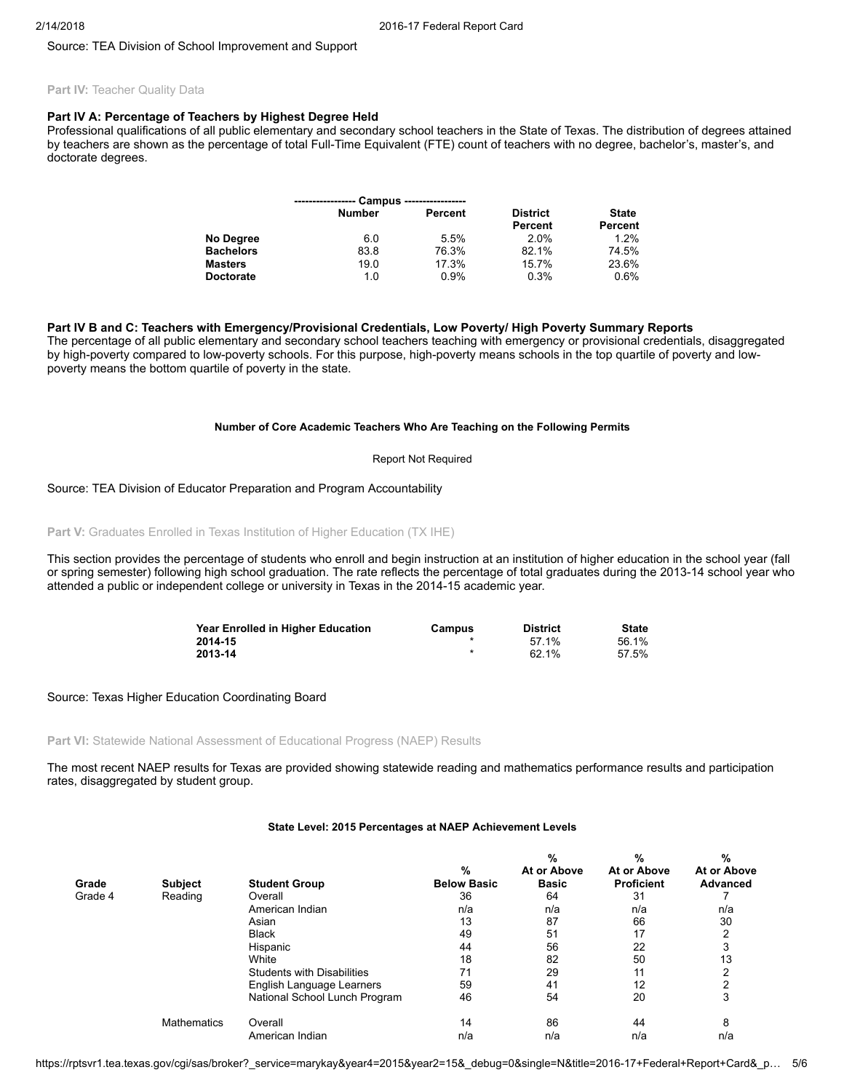Source: TEA Division of School Improvement and Support

# Part IV: Teacher Quality Data

# Part IV A: Percentage of Teachers by Highest Degree Held

Professional qualifications of all public elementary and secondary school teachers in the State of Texas. The distribution of degrees attained by teachers are shown as the percentage of total Full-Time Equivalent (FTE) count of teachers with no degree, bachelor's, master's, and doctorate degrees.

|                  |               | Campus ------------------ |                 |              |
|------------------|---------------|---------------------------|-----------------|--------------|
|                  | <b>Number</b> | Percent                   | <b>District</b> | <b>State</b> |
|                  |               |                           | Percent         | Percent      |
| No Degree        | 6.0           | 5.5%                      | 2.0%            | $1.2\%$      |
| <b>Bachelors</b> | 83.8          | 76.3%                     | 82.1%           | 74.5%        |
| <b>Masters</b>   | 19.0          | 17.3%                     | 15.7%           | 23.6%        |
| <b>Doctorate</b> | 1.0           | 0.9%                      | 0.3%            | 0.6%         |

# Part IV B and C: Teachers with Emergency/Provisional Credentials, Low Poverty/ High Poverty Summary Reports

The percentage of all public elementary and secondary school teachers teaching with emergency or provisional credentials, disaggregated by high-poverty compared to low-poverty schools. For this purpose, high-poverty means schools in the top quartile of poverty and lowpoverty means the bottom quartile of poverty in the state.

# Number of Core Academic Teachers Who Are Teaching on the Following Permits

### Report Not Required

# Source: TEA Division of Educator Preparation and Program Accountability

Part V: Graduates Enrolled in Texas Institution of Higher Education (TX IHE)

This section provides the percentage of students who enroll and begin instruction at an institution of higher education in the school year (fall or spring semester) following high school graduation. The rate reflects the percentage of total graduates during the 2013-14 school year who attended a public or independent college or university in Texas in the 2014-15 academic year.

| Year Enrolled in Higher Education | Campus | <b>District</b> | <b>State</b> |
|-----------------------------------|--------|-----------------|--------------|
| 2014-15                           |        | 57 1%           | 56.1%        |
| 2013-14                           |        | 62.1%           | 57.5%        |

### Source: Texas Higher Education Coordinating Board

# Part VI: Statewide National Assessment of Educational Progress (NAEP) Results

The most recent NAEP results for Texas are provided showing statewide reading and mathematics performance results and participation rates, disaggregated by student group.

|         |                    |                                   | %                  | %<br>At or Above | %<br>At or Above  | %<br>At or Above |
|---------|--------------------|-----------------------------------|--------------------|------------------|-------------------|------------------|
| Grade   | <b>Subject</b>     | <b>Student Group</b>              | <b>Below Basic</b> | <b>Basic</b>     | <b>Proficient</b> | <b>Advanced</b>  |
| Grade 4 | Reading            | Overall                           | 36                 | 64               | 31                |                  |
|         |                    | American Indian                   | n/a                | n/a              | n/a               | n/a              |
|         |                    | Asian                             | 13                 | 87               | 66                | 30               |
|         |                    | <b>Black</b>                      | 49                 | 51               | 17                |                  |
|         |                    | Hispanic                          | 44                 | 56               | 22                |                  |
|         |                    | White                             | 18                 | 82               | 50                | 13               |
|         |                    | <b>Students with Disabilities</b> | 71                 | 29               | 11                |                  |
|         |                    | English Language Learners         | 59                 | 41               | 12                | ⌒                |
|         |                    | National School Lunch Program     | 46                 | 54               | 20                | 3                |
|         | <b>Mathematics</b> | Overall                           | 14                 | 86               | 44                | 8                |
|         |                    | American Indian                   | n/a                | n/a              | n/a               | n/a              |

## State Level: 2015 Percentages at NAEP Achievement Levels